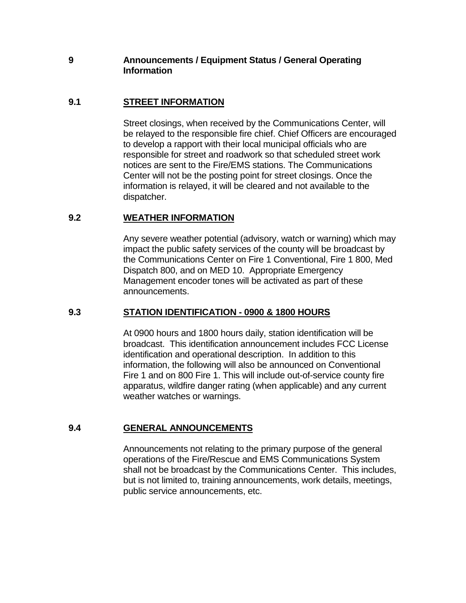## **9 Announcements / Equipment Status / General Operating Information**

# **9.1 STREET INFORMATION**

Street closings, when received by the Communications Center, will be relayed to the responsible fire chief. Chief Officers are encouraged to develop a rapport with their local municipal officials who are responsible for street and roadwork so that scheduled street work notices are sent to the Fire/EMS stations. The Communications Center will not be the posting point for street closings. Once the information is relayed, it will be cleared and not available to the dispatcher.

## **9.2 WEATHER INFORMATION**

Any severe weather potential (advisory, watch or warning) which may impact the public safety services of the county will be broadcast by the Communications Center on Fire 1 Conventional, Fire 1 800, Med Dispatch 800, and on MED 10. Appropriate Emergency Management encoder tones will be activated as part of these announcements.

## **9.3 STATION IDENTIFICATION - 0900 & 1800 HOURS**

At 0900 hours and 1800 hours daily, station identification will be broadcast. This identification announcement includes FCC License identification and operational description. In addition to this information, the following will also be announced on Conventional Fire 1 and on 800 Fire 1. This will include out-of-service county fire apparatus, wildfire danger rating (when applicable) and any current weather watches or warnings.

## **9.4 GENERAL ANNOUNCEMENTS**

Announcements not relating to the primary purpose of the general operations of the Fire/Rescue and EMS Communications System shall not be broadcast by the Communications Center. This includes, but is not limited to, training announcements, work details, meetings, public service announcements, etc.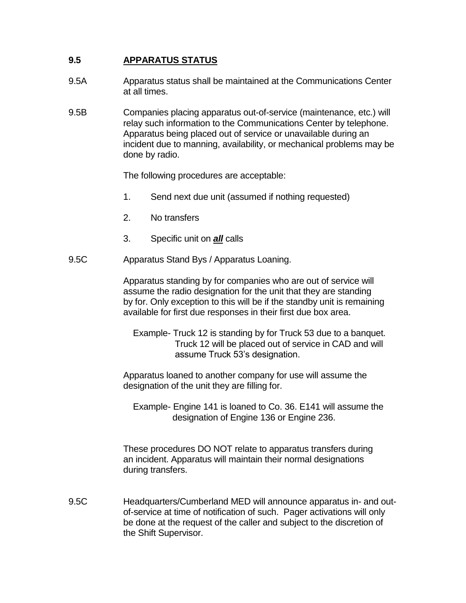# **9.5 APPARATUS STATUS**

- 9.5A Apparatus status shall be maintained at the Communications Center at all times.
- 9.5B Companies placing apparatus out-of-service (maintenance, etc.) will relay such information to the Communications Center by telephone. Apparatus being placed out of service or unavailable during an incident due to manning, availability, or mechanical problems may be done by radio.

The following procedures are acceptable:

- 1. Send next due unit (assumed if nothing requested)
- 2. No transfers
- 3. Specific unit on *all* calls
- 9.5C Apparatus Stand Bys / Apparatus Loaning.

Apparatus standing by for companies who are out of service will assume the radio designation for the unit that they are standing by for. Only exception to this will be if the standby unit is remaining available for first due responses in their first due box area.

 Example- Truck 12 is standing by for Truck 53 due to a banquet. Truck 12 will be placed out of service in CAD and will assume Truck 53's designation.

Apparatus loaned to another company for use will assume the designation of the unit they are filling for.

 Example- Engine 141 is loaned to Co. 36. E141 will assume the designation of Engine 136 or Engine 236.

These procedures DO NOT relate to apparatus transfers during an incident. Apparatus will maintain their normal designations during transfers.

9.5C Headquarters/Cumberland MED will announce apparatus in- and outof-service at time of notification of such. Pager activations will only be done at the request of the caller and subject to the discretion of the Shift Supervisor.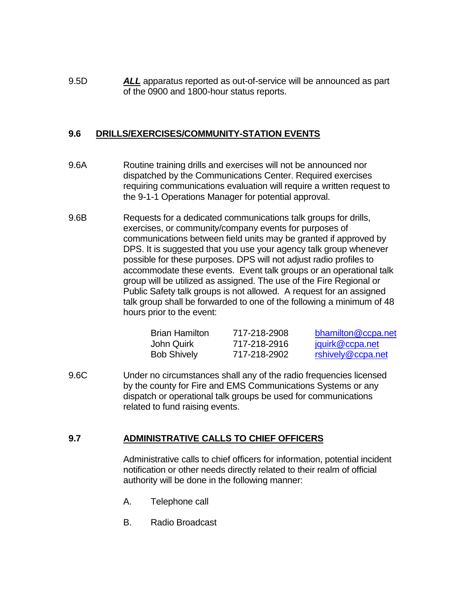9.5D *ALL* apparatus reported as out-of-service will be announced as part of the 0900 and 1800-hour status reports.

### **9.6 DRILLS/EXERCISES/COMMUNITY-STATION EVENTS**

- 9.6A Routine training drills and exercises will not be announced nor dispatched by the Communications Center. Required exercises requiring communications evaluation will require a written request to the 9-1-1 Operations Manager for potential approval.
- 9.6B Requests for a dedicated communications talk groups for drills, exercises, or community/company events for purposes of communications between field units may be granted if approved by DPS. It is suggested that you use your agency talk group whenever possible for these purposes. DPS will not adjust radio profiles to accommodate these events. Event talk groups or an operational talk group will be utilized as assigned. The use of the Fire Regional or Public Safety talk groups is not allowed. A request for an assigned talk group shall be forwarded to one of the following a minimum of 48 hours prior to the event:

| <b>Brian Hamilton</b> | 717-218-2908 | bhamilton@ccpa.net |
|-----------------------|--------------|--------------------|
| John Quirk            | 717-218-2916 | jquirk@ccpa.net    |
| <b>Bob Shively</b>    | 717-218-2902 | rshively@ccpa.net  |

9.6C Under no circumstances shall any of the radio frequencies licensed by the county for Fire and EMS Communications Systems or any dispatch or operational talk groups be used for communications related to fund raising events.

## **9.7 ADMINISTRATIVE CALLS TO CHIEF OFFICERS**

Administrative calls to chief officers for information, potential incident notification or other needs directly related to their realm of official authority will be done in the following manner:

- A. Telephone call
- B. Radio Broadcast